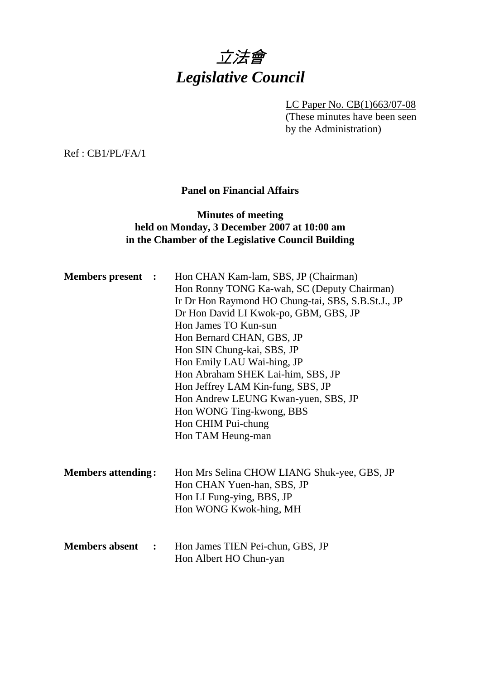

LC Paper No. CB(1)663/07-08 (These minutes have been seen by the Administration)

Ref : CB1/PL/FA/1

# **Panel on Financial Affairs**

## **Minutes of meeting held on Monday, 3 December 2007 at 10:00 am in the Chamber of the Legislative Council Building**

| <b>Members present :</b>  | Hon CHAN Kam-lam, SBS, JP (Chairman)               |
|---------------------------|----------------------------------------------------|
|                           | Hon Ronny TONG Ka-wah, SC (Deputy Chairman)        |
|                           | Ir Dr Hon Raymond HO Chung-tai, SBS, S.B.St.J., JP |
|                           | Dr Hon David LI Kwok-po, GBM, GBS, JP              |
|                           | Hon James TO Kun-sun                               |
|                           | Hon Bernard CHAN, GBS, JP                          |
|                           | Hon SIN Chung-kai, SBS, JP                         |
|                           | Hon Emily LAU Wai-hing, JP                         |
|                           | Hon Abraham SHEK Lai-him, SBS, JP                  |
|                           | Hon Jeffrey LAM Kin-fung, SBS, JP                  |
|                           | Hon Andrew LEUNG Kwan-yuen, SBS, JP                |
|                           | Hon WONG Ting-kwong, BBS                           |
|                           | Hon CHIM Pui-chung                                 |
|                           | Hon TAM Heung-man                                  |
|                           |                                                    |
| <b>Members attending:</b> | Hon Mrs Selina CHOW LIANG Shuk-yee, GBS, JP        |
|                           | Hon CHAN Yuen-han, SBS, JP                         |
|                           | Hon LI Fung-ying, BBS, JP                          |
|                           | Hon WONG Kwok-hing, MH                             |
| <b>Members absent</b> :   | Hon James TIEN Pei-chun, GBS, JP                   |
|                           | Hon Albert HO Chun-yan                             |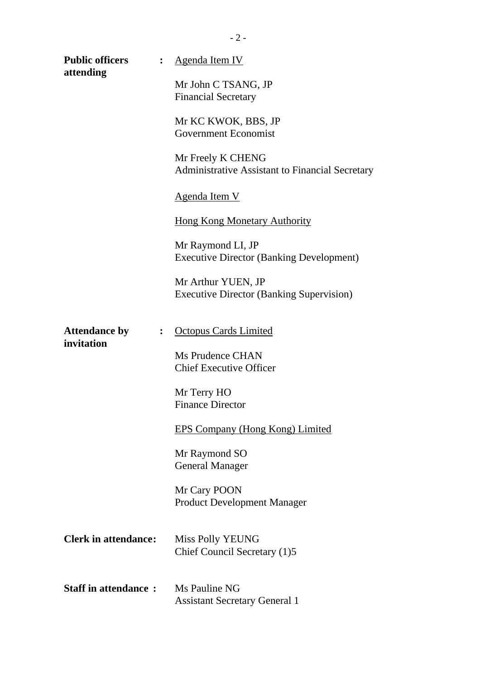| <b>Public officers</b><br>attending | : $\hfill \blacksquare$ | <u>Agenda Item IV</u>                                                 |
|-------------------------------------|-------------------------|-----------------------------------------------------------------------|
|                                     |                         | Mr John C TSANG, JP<br><b>Financial Secretary</b>                     |
|                                     |                         | Mr KC KWOK, BBS, JP<br><b>Government Economist</b>                    |
|                                     |                         | Mr Freely K CHENG<br>Administrative Assistant to Financial Secretary  |
|                                     |                         | <u>Agenda Item V</u>                                                  |
|                                     |                         | <b>Hong Kong Monetary Authority</b>                                   |
|                                     |                         | Mr Raymond LI, JP<br><b>Executive Director (Banking Development)</b>  |
|                                     |                         | Mr Arthur YUEN, JP<br><b>Executive Director (Banking Supervision)</b> |
| <b>Attendance by</b><br>invitation  | : $\hfill \blacksquare$ | <b>Octopus Cards Limited</b>                                          |
|                                     |                         | Ms Prudence CHAN<br><b>Chief Executive Officer</b>                    |
|                                     |                         | Mr Terry HO<br><b>Finance Director</b>                                |
|                                     |                         | EPS Company (Hong Kong) Limited                                       |
|                                     |                         | Mr Raymond SO<br><b>General Manager</b>                               |
|                                     |                         | Mr Cary POON<br><b>Product Development Manager</b>                    |
| <b>Clerk in attendance:</b>         |                         | Miss Polly YEUNG<br>Chief Council Secretary (1)5                      |
| <b>Staff in attendance:</b>         |                         | Ms Pauline NG<br><b>Assistant Secretary General 1</b>                 |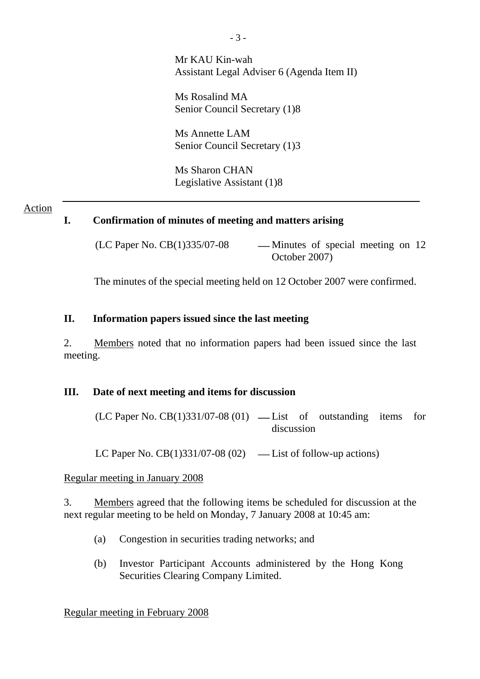Mr KAU Kin-wah Assistant Legal Adviser 6 (Agenda Item II)

Ms Rosalind MA Senior Council Secretary (1)8

Ms Annette LAM Senior Council Secretary (1)3

Ms Sharon CHAN Legislative Assistant (1)8

#### Action

### **I. Confirmation of minutes of meeting and matters arising**

 $(LC$  Paper No.  $CB(1)335/07-08$  — Minutes of special meeting on 12 October 2007)

The minutes of the special meeting held on 12 October 2007 were confirmed.

#### **II. Information papers issued since the last meeting**

2. Members noted that no information papers had been issued since the last meeting.

#### **III. Date of next meeting and items for discussion**

 $(LC$  Paper No.  $CB(1)331/07-08(01)$  — List of outstanding items for discussion

LC Paper No.  $CB(1)331/07-08(02)$  — List of follow-up actions)

#### Regular meeting in January 2008

3. Members agreed that the following items be scheduled for discussion at the next regular meeting to be held on Monday, 7 January 2008 at 10:45 am:

- (a) Congestion in securities trading networks; and
- (b) Investor Participant Accounts administered by the Hong Kong Securities Clearing Company Limited.

Regular meeting in February 2008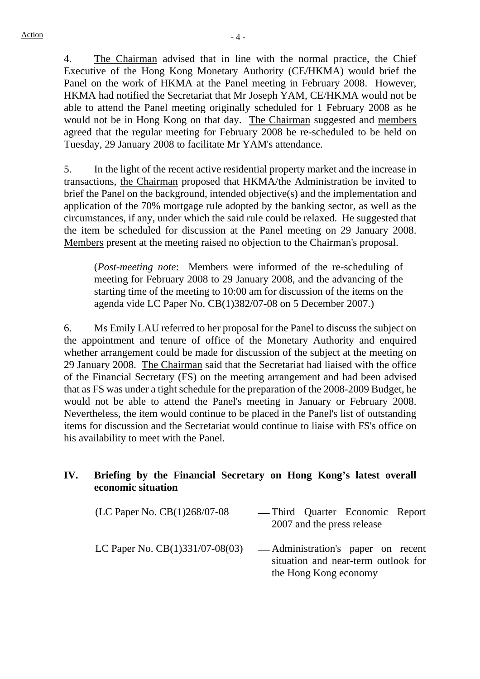4. The Chairman advised that in line with the normal practice, the Chief Executive of the Hong Kong Monetary Authority (CE/HKMA) would brief the Panel on the work of HKMA at the Panel meeting in February 2008. However, HKMA had notified the Secretariat that Mr Joseph YAM, CE/HKMA would not be able to attend the Panel meeting originally scheduled for 1 February 2008 as he would not be in Hong Kong on that day. The Chairman suggested and members agreed that the regular meeting for February 2008 be re-scheduled to be held on Tuesday, 29 January 2008 to facilitate Mr YAM's attendance.

5. In the light of the recent active residential property market and the increase in transactions, the Chairman proposed that HKMA/the Administration be invited to brief the Panel on the background, intended objective(s) and the implementation and application of the 70% mortgage rule adopted by the banking sector, as well as the circumstances, if any, under which the said rule could be relaxed. He suggested that the item be scheduled for discussion at the Panel meeting on 29 January 2008. Members present at the meeting raised no objection to the Chairman's proposal.

(*Post-meeting note*: Members were informed of the re-scheduling of meeting for February 2008 to 29 January 2008, and the advancing of the starting time of the meeting to 10:00 am for discussion of the items on the agenda vide LC Paper No. CB(1)382/07-08 on 5 December 2007.)

6. Ms Emily LAU referred to her proposal for the Panel to discuss the subject on the appointment and tenure of office of the Monetary Authority and enquired whether arrangement could be made for discussion of the subject at the meeting on 29 January 2008. The Chairman said that the Secretariat had liaised with the office of the Financial Secretary (FS) on the meeting arrangement and had been advised that as FS was under a tight schedule for the preparation of the 2008-2009 Budget, he would not be able to attend the Panel's meeting in January or February 2008. Nevertheless, the item would continue to be placed in the Panel's list of outstanding items for discussion and the Secretariat would continue to liaise with FS's office on his availability to meet with the Panel.

### **IV. Briefing by the Financial Secretary on Hong Kong's latest overall economic situation**

 $(LC$  Paper No.  $CB(1)268/07-08$  — Third Quarter Economic Report 2007 and the press release LC Paper No.  $CB(1)331/07-08(03)$  — Administration's paper on recent situation and near-term outlook for

the Hong Kong economy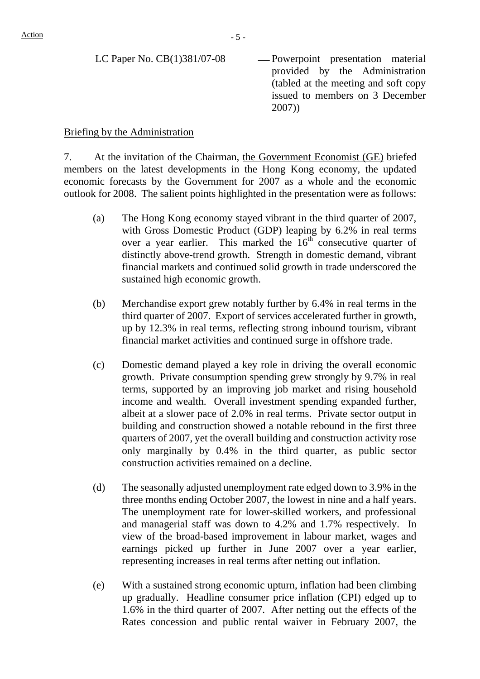| LC Paper No. $CB(1)381/07-08$ | -Powerpoint presentation material     |
|-------------------------------|---------------------------------------|
|                               | provided by the Administration        |
|                               | (tabled at the meeting and soft copy) |
|                               | issued to members on 3 December       |
|                               | 2007)                                 |

#### Briefing by the Administration

7. At the invitation of the Chairman, the Government Economist (GE) briefed members on the latest developments in the Hong Kong economy, the updated economic forecasts by the Government for 2007 as a whole and the economic outlook for 2008. The salient points highlighted in the presentation were as follows:

- (a) The Hong Kong economy stayed vibrant in the third quarter of 2007, with Gross Domestic Product (GDP) leaping by 6.2% in real terms over a year earlier. This marked the  $16<sup>th</sup>$  consecutive quarter of distinctly above-trend growth. Strength in domestic demand, vibrant financial markets and continued solid growth in trade underscored the sustained high economic growth.
- (b) Merchandise export grew notably further by 6.4% in real terms in the third quarter of 2007. Export of services accelerated further in growth, up by 12.3% in real terms, reflecting strong inbound tourism, vibrant financial market activities and continued surge in offshore trade.
- (c) Domestic demand played a key role in driving the overall economic growth. Private consumption spending grew strongly by 9.7% in real terms, supported by an improving job market and rising household income and wealth. Overall investment spending expanded further, albeit at a slower pace of 2.0% in real terms. Private sector output in building and construction showed a notable rebound in the first three quarters of 2007, yet the overall building and construction activity rose only marginally by 0.4% in the third quarter, as public sector construction activities remained on a decline.
- (d) The seasonally adjusted unemployment rate edged down to 3.9% in the three months ending October 2007, the lowest in nine and a half years. The unemployment rate for lower-skilled workers, and professional and managerial staff was down to 4.2% and 1.7% respectively. In view of the broad-based improvement in labour market, wages and earnings picked up further in June 2007 over a year earlier, representing increases in real terms after netting out inflation.
- (e) With a sustained strong economic upturn, inflation had been climbing up gradually. Headline consumer price inflation (CPI) edged up to 1.6% in the third quarter of 2007. After netting out the effects of the Rates concession and public rental waiver in February 2007, the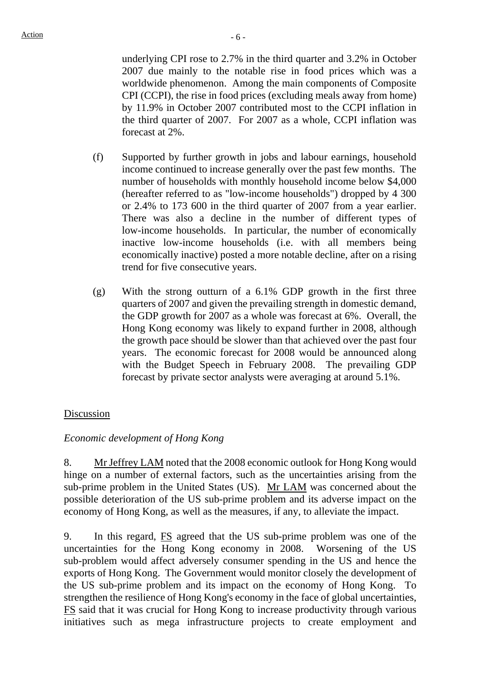underlying CPI rose to 2.7% in the third quarter and 3.2% in October 2007 due mainly to the notable rise in food prices which was a worldwide phenomenon. Among the main components of Composite CPI (CCPI), the rise in food prices (excluding meals away from home) by 11.9% in October 2007 contributed most to the CCPI inflation in the third quarter of 2007. For 2007 as a whole, CCPI inflation was forecast at 2%.

- (f) Supported by further growth in jobs and labour earnings, household income continued to increase generally over the past few months. The number of households with monthly household income below \$4,000 (hereafter referred to as "low-income households") dropped by 4 300 or 2.4% to 173 600 in the third quarter of 2007 from a year earlier. There was also a decline in the number of different types of low-income households. In particular, the number of economically inactive low-income households (i.e. with all members being economically inactive) posted a more notable decline, after on a rising trend for five consecutive years.
- (g) With the strong outturn of a 6.1% GDP growth in the first three quarters of 2007 and given the prevailing strength in domestic demand, the GDP growth for 2007 as a whole was forecast at 6%. Overall, the Hong Kong economy was likely to expand further in 2008, although the growth pace should be slower than that achieved over the past four years. The economic forecast for 2008 would be announced along with the Budget Speech in February 2008. The prevailing GDP forecast by private sector analysts were averaging at around 5.1%.

### Discussion

### *Economic development of Hong Kong*

8. Mr Jeffrey LAM noted that the 2008 economic outlook for Hong Kong would hinge on a number of external factors, such as the uncertainties arising from the sub-prime problem in the United States (US). Mr LAM was concerned about the possible deterioration of the US sub-prime problem and its adverse impact on the economy of Hong Kong, as well as the measures, if any, to alleviate the impact.

9. In this regard, FS agreed that the US sub-prime problem was one of the uncertainties for the Hong Kong economy in 2008. Worsening of the US sub-problem would affect adversely consumer spending in the US and hence the exports of Hong Kong. The Government would monitor closely the development of the US sub-prime problem and its impact on the economy of Hong Kong. To strengthen the resilience of Hong Kong's economy in the face of global uncertainties, FS said that it was crucial for Hong Kong to increase productivity through various initiatives such as mega infrastructure projects to create employment and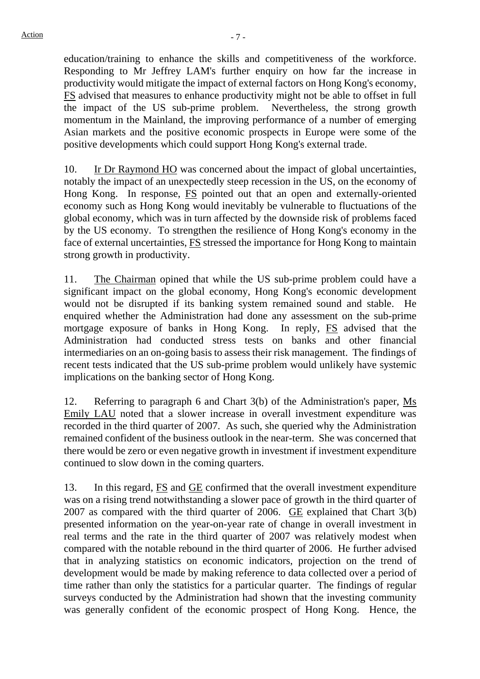education/training to enhance the skills and competitiveness of the workforce. Responding to Mr Jeffrey LAM's further enquiry on how far the increase in productivity would mitigate the impact of external factors on Hong Kong's economy, FS advised that measures to enhance productivity might not be able to offset in full the impact of the US sub-prime problem. Nevertheless, the strong growth momentum in the Mainland, the improving performance of a number of emerging Asian markets and the positive economic prospects in Europe were some of the positive developments which could support Hong Kong's external trade.

10. Ir Dr Raymond HO was concerned about the impact of global uncertainties, notably the impact of an unexpectedly steep recession in the US, on the economy of Hong Kong. In response, FS pointed out that an open and externally-oriented economy such as Hong Kong would inevitably be vulnerable to fluctuations of the global economy, which was in turn affected by the downside risk of problems faced by the US economy. To strengthen the resilience of Hong Kong's economy in the face of external uncertainties, FS stressed the importance for Hong Kong to maintain strong growth in productivity.

11. The Chairman opined that while the US sub-prime problem could have a significant impact on the global economy, Hong Kong's economic development would not be disrupted if its banking system remained sound and stable. He enquired whether the Administration had done any assessment on the sub-prime mortgage exposure of banks in Hong Kong. In reply, FS advised that the Administration had conducted stress tests on banks and other financial intermediaries on an on-going basis to assess their risk management. The findings of recent tests indicated that the US sub-prime problem would unlikely have systemic implications on the banking sector of Hong Kong.

12. Referring to paragraph 6 and Chart 3(b) of the Administration's paper, Ms Emily LAU noted that a slower increase in overall investment expenditure was recorded in the third quarter of 2007. As such, she queried why the Administration remained confident of the business outlook in the near-term. She was concerned that there would be zero or even negative growth in investment if investment expenditure continued to slow down in the coming quarters.

13. In this regard, FS and GE confirmed that the overall investment expenditure was on a rising trend notwithstanding a slower pace of growth in the third quarter of 2007 as compared with the third quarter of 2006. GE explained that Chart 3(b) presented information on the year-on-year rate of change in overall investment in real terms and the rate in the third quarter of 2007 was relatively modest when compared with the notable rebound in the third quarter of 2006. He further advised that in analyzing statistics on economic indicators, projection on the trend of development would be made by making reference to data collected over a period of time rather than only the statistics for a particular quarter. The findings of regular surveys conducted by the Administration had shown that the investing community was generally confident of the economic prospect of Hong Kong. Hence, the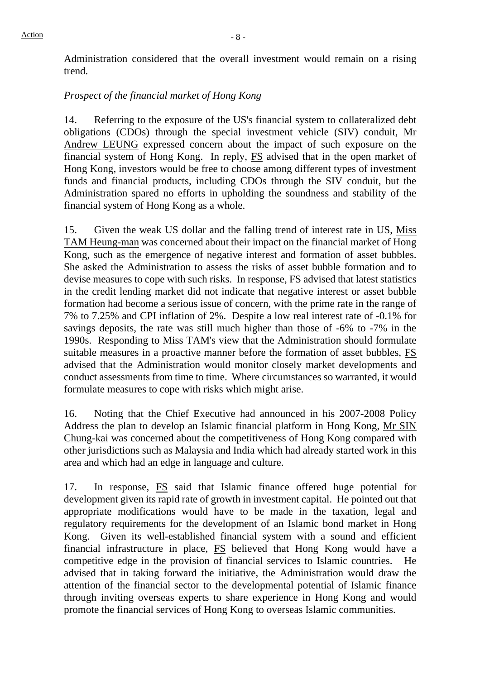Administration considered that the overall investment would remain on a rising trend.

#### *Prospect of the financial market of Hong Kong*

14. Referring to the exposure of the US's financial system to collateralized debt obligations (CDOs) through the special investment vehicle (SIV) conduit, Mr Andrew LEUNG expressed concern about the impact of such exposure on the financial system of Hong Kong. In reply, FS advised that in the open market of Hong Kong, investors would be free to choose among different types of investment funds and financial products, including CDOs through the SIV conduit, but the Administration spared no efforts in upholding the soundness and stability of the financial system of Hong Kong as a whole.

15. Given the weak US dollar and the falling trend of interest rate in US, Miss TAM Heung-man was concerned about their impact on the financial market of Hong Kong, such as the emergence of negative interest and formation of asset bubbles. She asked the Administration to assess the risks of asset bubble formation and to devise measures to cope with such risks. In response, FS advised that latest statistics in the credit lending market did not indicate that negative interest or asset bubble formation had become a serious issue of concern, with the prime rate in the range of 7% to 7.25% and CPI inflation of 2%. Despite a low real interest rate of -0.1% for savings deposits, the rate was still much higher than those of -6% to -7% in the 1990s. Responding to Miss TAM's view that the Administration should formulate suitable measures in a proactive manner before the formation of asset bubbles, FS advised that the Administration would monitor closely market developments and conduct assessments from time to time. Where circumstances so warranted, it would formulate measures to cope with risks which might arise.

16. Noting that the Chief Executive had announced in his 2007-2008 Policy Address the plan to develop an Islamic financial platform in Hong Kong, Mr SIN Chung-kai was concerned about the competitiveness of Hong Kong compared with other jurisdictions such as Malaysia and India which had already started work in this area and which had an edge in language and culture.

17. In response, FS said that Islamic finance offered huge potential for development given its rapid rate of growth in investment capital. He pointed out that appropriate modifications would have to be made in the taxation, legal and regulatory requirements for the development of an Islamic bond market in Hong Kong. Given its well-established financial system with a sound and efficient financial infrastructure in place, FS believed that Hong Kong would have a competitive edge in the provision of financial services to Islamic countries. He advised that in taking forward the initiative, the Administration would draw the attention of the financial sector to the developmental potential of Islamic finance through inviting overseas experts to share experience in Hong Kong and would promote the financial services of Hong Kong to overseas Islamic communities.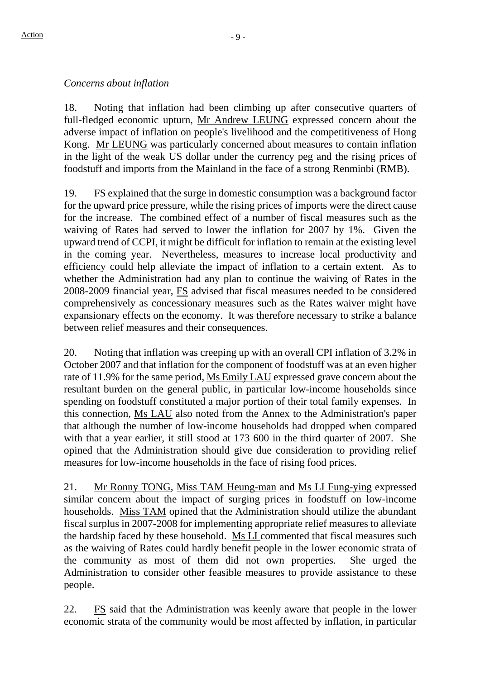## *Concerns about inflation*

18. Noting that inflation had been climbing up after consecutive quarters of full-fledged economic upturn, Mr Andrew LEUNG expressed concern about the adverse impact of inflation on people's livelihood and the competitiveness of Hong Kong. Mr LEUNG was particularly concerned about measures to contain inflation in the light of the weak US dollar under the currency peg and the rising prices of foodstuff and imports from the Mainland in the face of a strong Renminbi (RMB).

19. FS explained that the surge in domestic consumption was a background factor for the upward price pressure, while the rising prices of imports were the direct cause for the increase. The combined effect of a number of fiscal measures such as the waiving of Rates had served to lower the inflation for 2007 by 1%. Given the upward trend of CCPI, it might be difficult for inflation to remain at the existing level in the coming year. Nevertheless, measures to increase local productivity and efficiency could help alleviate the impact of inflation to a certain extent. As to whether the Administration had any plan to continue the waiving of Rates in the 2008-2009 financial year, FS advised that fiscal measures needed to be considered comprehensively as concessionary measures such as the Rates waiver might have expansionary effects on the economy. It was therefore necessary to strike a balance between relief measures and their consequences.

20. Noting that inflation was creeping up with an overall CPI inflation of 3.2% in October 2007 and that inflation for the component of foodstuff was at an even higher rate of 11.9% for the same period, Ms Emily LAU expressed grave concern about the resultant burden on the general public, in particular low-income households since spending on foodstuff constituted a major portion of their total family expenses. In this connection, Ms LAU also noted from the Annex to the Administration's paper that although the number of low-income households had dropped when compared with that a year earlier, it still stood at 173 600 in the third quarter of 2007. She opined that the Administration should give due consideration to providing relief measures for low-income households in the face of rising food prices.

21. Mr Ronny TONG, Miss TAM Heung-man and Ms LI Fung-ying expressed similar concern about the impact of surging prices in foodstuff on low-income households. Miss TAM opined that the Administration should utilize the abundant fiscal surplus in 2007-2008 for implementing appropriate relief measures to alleviate the hardship faced by these household. Ms LI commented that fiscal measures such as the waiving of Rates could hardly benefit people in the lower economic strata of the community as most of them did not own properties. She urged the Administration to consider other feasible measures to provide assistance to these people.

22. FS said that the Administration was keenly aware that people in the lower economic strata of the community would be most affected by inflation, in particular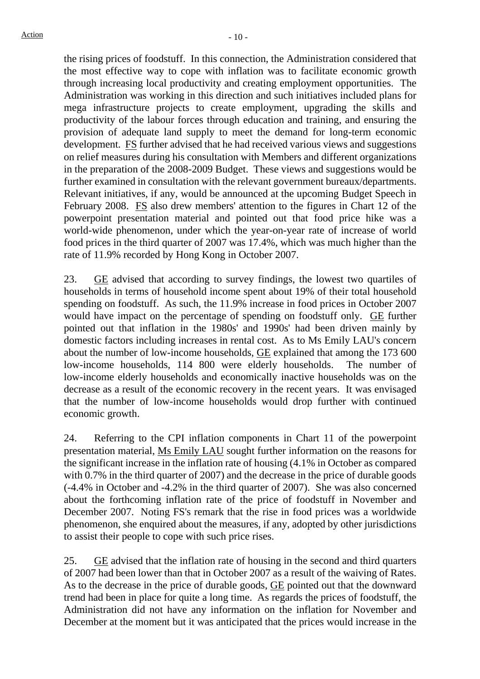the rising prices of foodstuff. In this connection, the Administration considered that the most effective way to cope with inflation was to facilitate economic growth through increasing local productivity and creating employment opportunities. The Administration was working in this direction and such initiatives included plans for mega infrastructure projects to create employment, upgrading the skills and productivity of the labour forces through education and training, and ensuring the provision of adequate land supply to meet the demand for long-term economic development. FS further advised that he had received various views and suggestions on relief measures during his consultation with Members and different organizations in the preparation of the 2008-2009 Budget. These views and suggestions would be further examined in consultation with the relevant government bureaux/departments. Relevant initiatives, if any, would be announced at the upcoming Budget Speech in February 2008. FS also drew members' attention to the figures in Chart 12 of the powerpoint presentation material and pointed out that food price hike was a world-wide phenomenon, under which the year-on-year rate of increase of world food prices in the third quarter of 2007 was 17.4%, which was much higher than the rate of 11.9% recorded by Hong Kong in October 2007.

23. GE advised that according to survey findings, the lowest two quartiles of households in terms of household income spent about 19% of their total household spending on foodstuff. As such, the 11.9% increase in food prices in October 2007 would have impact on the percentage of spending on foodstuff only. GE further pointed out that inflation in the 1980s' and 1990s' had been driven mainly by domestic factors including increases in rental cost. As to Ms Emily LAU's concern about the number of low-income households, GE explained that among the 173 600 low-income households, 114 800 were elderly households. The number of low-income elderly households and economically inactive households was on the decrease as a result of the economic recovery in the recent years. It was envisaged that the number of low-income households would drop further with continued economic growth.

24. Referring to the CPI inflation components in Chart 11 of the powerpoint presentation material, Ms Emily LAU sought further information on the reasons for the significant increase in the inflation rate of housing (4.1% in October as compared with 0.7% in the third quarter of 2007) and the decrease in the price of durable goods (-4.4% in October and -4.2% in the third quarter of 2007). She was also concerned about the forthcoming inflation rate of the price of foodstuff in November and December 2007. Noting FS's remark that the rise in food prices was a worldwide phenomenon, she enquired about the measures, if any, adopted by other jurisdictions to assist their people to cope with such price rises.

25.  $GE$  advised that the inflation rate of housing in the second and third quarters of 2007 had been lower than that in October 2007 as a result of the waiving of Rates. As to the decrease in the price of durable goods, GE pointed out that the downward trend had been in place for quite a long time. As regards the prices of foodstuff, the Administration did not have any information on the inflation for November and December at the moment but it was anticipated that the prices would increase in the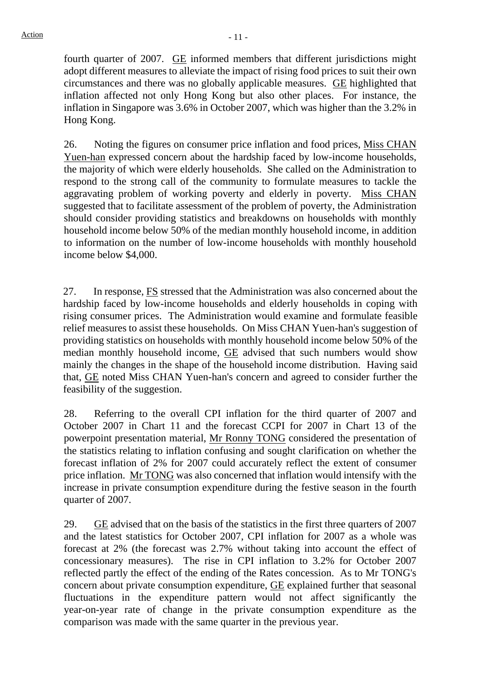fourth quarter of 2007. GE informed members that different jurisdictions might adopt different measures to alleviate the impact of rising food prices to suit their own circumstances and there was no globally applicable measures. GE highlighted that inflation affected not only Hong Kong but also other places. For instance, the inflation in Singapore was 3.6% in October 2007, which was higher than the 3.2% in Hong Kong.

26. Noting the figures on consumer price inflation and food prices, Miss CHAN Yuen-han expressed concern about the hardship faced by low-income households, the majority of which were elderly households. She called on the Administration to respond to the strong call of the community to formulate measures to tackle the aggravating problem of working poverty and elderly in poverty. Miss CHAN suggested that to facilitate assessment of the problem of poverty, the Administration should consider providing statistics and breakdowns on households with monthly household income below 50% of the median monthly household income, in addition to information on the number of low-income households with monthly household income below \$4,000.

27. In response, FS stressed that the Administration was also concerned about the hardship faced by low-income households and elderly households in coping with rising consumer prices. The Administration would examine and formulate feasible relief measures to assist these households. On Miss CHAN Yuen-han's suggestion of providing statistics on households with monthly household income below 50% of the median monthly household income, GE advised that such numbers would show mainly the changes in the shape of the household income distribution. Having said that, GE noted Miss CHAN Yuen-han's concern and agreed to consider further the feasibility of the suggestion.

28. Referring to the overall CPI inflation for the third quarter of 2007 and October 2007 in Chart 11 and the forecast CCPI for 2007 in Chart 13 of the powerpoint presentation material, Mr Ronny TONG considered the presentation of the statistics relating to inflation confusing and sought clarification on whether the forecast inflation of 2% for 2007 could accurately reflect the extent of consumer price inflation. Mr TONG was also concerned that inflation would intensify with the increase in private consumption expenditure during the festive season in the fourth quarter of 2007.

29. GE advised that on the basis of the statistics in the first three quarters of 2007 and the latest statistics for October 2007, CPI inflation for 2007 as a whole was forecast at 2% (the forecast was 2.7% without taking into account the effect of concessionary measures). The rise in CPI inflation to 3.2% for October 2007 reflected partly the effect of the ending of the Rates concession. As to Mr TONG's concern about private consumption expenditure, GE explained further that seasonal fluctuations in the expenditure pattern would not affect significantly the year-on-year rate of change in the private consumption expenditure as the comparison was made with the same quarter in the previous year.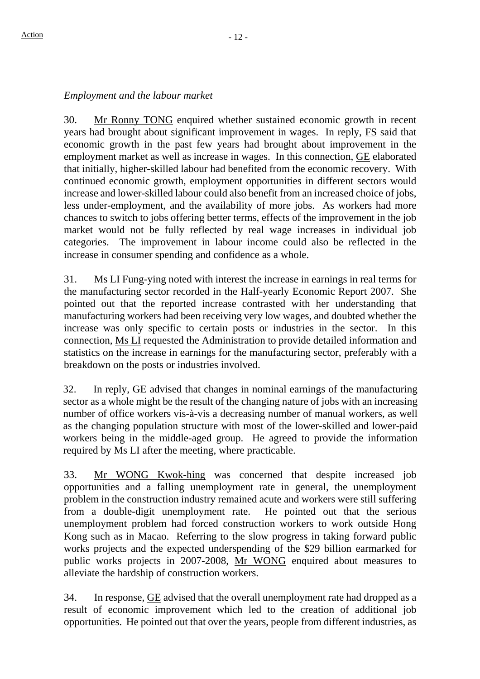#### *Employment and the labour market*

30. Mr Ronny TONG enquired whether sustained economic growth in recent years had brought about significant improvement in wages. In reply, FS said that economic growth in the past few years had brought about improvement in the employment market as well as increase in wages. In this connection, GE elaborated that initially, higher-skilled labour had benefited from the economic recovery. With continued economic growth, employment opportunities in different sectors would increase and lower-skilled labour could also benefit from an increased choice of jobs, less under-employment, and the availability of more jobs. As workers had more chances to switch to jobs offering better terms, effects of the improvement in the job market would not be fully reflected by real wage increases in individual job categories. The improvement in labour income could also be reflected in the increase in consumer spending and confidence as a whole.

31. Ms LI Fung-ying noted with interest the increase in earnings in real terms for the manufacturing sector recorded in the Half-yearly Economic Report 2007. She pointed out that the reported increase contrasted with her understanding that manufacturing workers had been receiving very low wages, and doubted whether the increase was only specific to certain posts or industries in the sector. In this connection, Ms LI requested the Administration to provide detailed information and statistics on the increase in earnings for the manufacturing sector, preferably with a breakdown on the posts or industries involved.

32. In reply, GE advised that changes in nominal earnings of the manufacturing sector as a whole might be the result of the changing nature of jobs with an increasing number of office workers vis-à-vis a decreasing number of manual workers, as well as the changing population structure with most of the lower-skilled and lower-paid workers being in the middle-aged group. He agreed to provide the information required by Ms LI after the meeting, where practicable.

33. Mr WONG Kwok-hing was concerned that despite increased job opportunities and a falling unemployment rate in general, the unemployment problem in the construction industry remained acute and workers were still suffering from a double-digit unemployment rate. He pointed out that the serious unemployment problem had forced construction workers to work outside Hong Kong such as in Macao. Referring to the slow progress in taking forward public works projects and the expected underspending of the \$29 billion earmarked for public works projects in 2007-2008, Mr WONG enquired about measures to alleviate the hardship of construction workers.

34. In response, GE advised that the overall unemployment rate had dropped as a result of economic improvement which led to the creation of additional job opportunities. He pointed out that over the years, people from different industries, as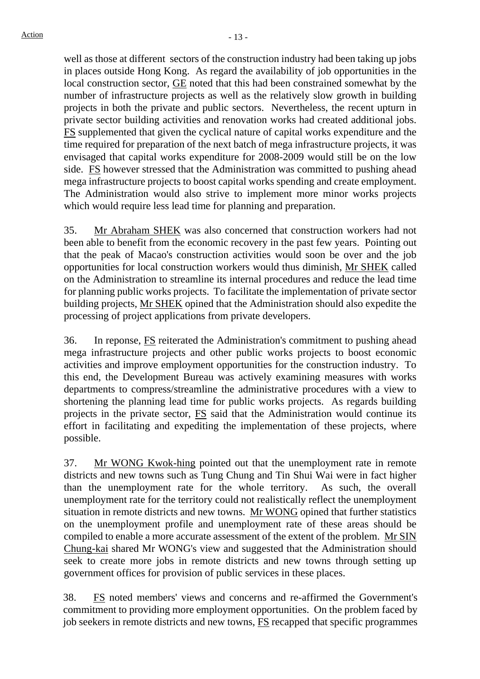well as those at different sectors of the construction industry had been taking up jobs in places outside Hong Kong. As regard the availability of job opportunities in the local construction sector, GE noted that this had been constrained somewhat by the number of infrastructure projects as well as the relatively slow growth in building projects in both the private and public sectors. Nevertheless, the recent upturn in private sector building activities and renovation works had created additional jobs. FS supplemented that given the cyclical nature of capital works expenditure and the time required for preparation of the next batch of mega infrastructure projects, it was envisaged that capital works expenditure for 2008-2009 would still be on the low side. FS however stressed that the Administration was committed to pushing ahead mega infrastructure projects to boost capital works spending and create employment. The Administration would also strive to implement more minor works projects which would require less lead time for planning and preparation.

35. Mr Abraham SHEK was also concerned that construction workers had not been able to benefit from the economic recovery in the past few years. Pointing out that the peak of Macao's construction activities would soon be over and the job opportunities for local construction workers would thus diminish, Mr SHEK called on the Administration to streamline its internal procedures and reduce the lead time for planning public works projects. To facilitate the implementation of private sector building projects, Mr SHEK opined that the Administration should also expedite the processing of project applications from private developers.

36. In reponse, FS reiterated the Administration's commitment to pushing ahead mega infrastructure projects and other public works projects to boost economic activities and improve employment opportunities for the construction industry. To this end, the Development Bureau was actively examining measures with works departments to compress/streamline the administrative procedures with a view to shortening the planning lead time for public works projects. As regards building projects in the private sector, FS said that the Administration would continue its effort in facilitating and expediting the implementation of these projects, where possible.

37. Mr WONG Kwok-hing pointed out that the unemployment rate in remote districts and new towns such as Tung Chung and Tin Shui Wai were in fact higher than the unemployment rate for the whole territory. As such, the overall unemployment rate for the territory could not realistically reflect the unemployment situation in remote districts and new towns. Mr WONG opined that further statistics on the unemployment profile and unemployment rate of these areas should be compiled to enable a more accurate assessment of the extent of the problem. Mr SIN Chung-kai shared Mr WONG's view and suggested that the Administration should seek to create more jobs in remote districts and new towns through setting up government offices for provision of public services in these places.

38. FS noted members' views and concerns and re-affirmed the Government's commitment to providing more employment opportunities. On the problem faced by job seekers in remote districts and new towns, **FS** recapped that specific programmes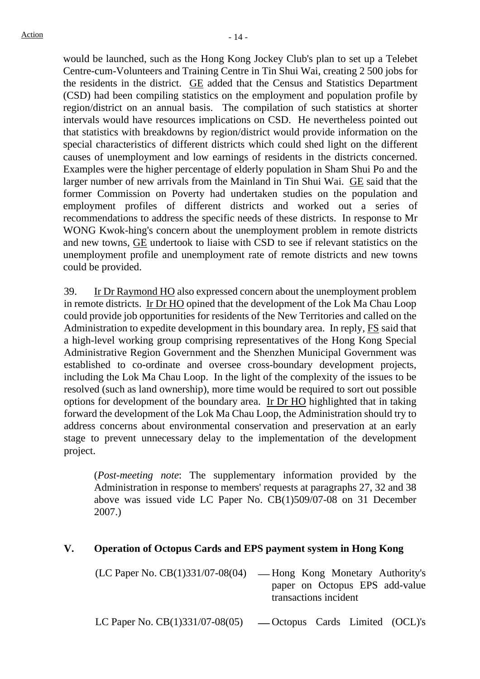would be launched, such as the Hong Kong Jockey Club's plan to set up a Telebet Centre-cum-Volunteers and Training Centre in Tin Shui Wai, creating 2 500 jobs for the residents in the district. GE added that the Census and Statistics Department (CSD) had been compiling statistics on the employment and population profile by region/district on an annual basis. The compilation of such statistics at shorter intervals would have resources implications on CSD. He nevertheless pointed out that statistics with breakdowns by region/district would provide information on the special characteristics of different districts which could shed light on the different causes of unemployment and low earnings of residents in the districts concerned. Examples were the higher percentage of elderly population in Sham Shui Po and the larger number of new arrivals from the Mainland in Tin Shui Wai. GE said that the former Commission on Poverty had undertaken studies on the population and employment profiles of different districts and worked out a series of recommendations to address the specific needs of these districts. In response to Mr WONG Kwok-hing's concern about the unemployment problem in remote districts and new towns, GE undertook to liaise with CSD to see if relevant statistics on the unemployment profile and unemployment rate of remote districts and new towns could be provided.

39. Ir Dr Raymond HO also expressed concern about the unemployment problem in remote districts. Ir Dr HO opined that the development of the Lok Ma Chau Loop could provide job opportunities for residents of the New Territories and called on the Administration to expedite development in this boundary area. In reply, FS said that a high-level working group comprising representatives of the Hong Kong Special Administrative Region Government and the Shenzhen Municipal Government was established to co-ordinate and oversee cross-boundary development projects, including the Lok Ma Chau Loop. In the light of the complexity of the issues to be resolved (such as land ownership), more time would be required to sort out possible options for development of the boundary area. Ir Dr HO highlighted that in taking forward the development of the Lok Ma Chau Loop, the Administration should try to address concerns about environmental conservation and preservation at an early stage to prevent unnecessary delay to the implementation of the development project.

(*Post-meeting note*: The supplementary information provided by the Administration in response to members' requests at paragraphs 27, 32 and 38 above was issued vide LC Paper No. CB(1)509/07-08 on 31 December 2007.)

### **V. Operation of Octopus Cards and EPS payment system in Hong Kong**

| $(LC$ Paper No. $CB(1)331/07-08(04)$ — Hong Kong Monetary Authority's |
|-----------------------------------------------------------------------|
| paper on Octopus EPS add-value                                        |
| transactions incident                                                 |
|                                                                       |

LC Paper No.  $CB(1)331/07-08(05)$  - Octopus Cards Limited (OCL)'s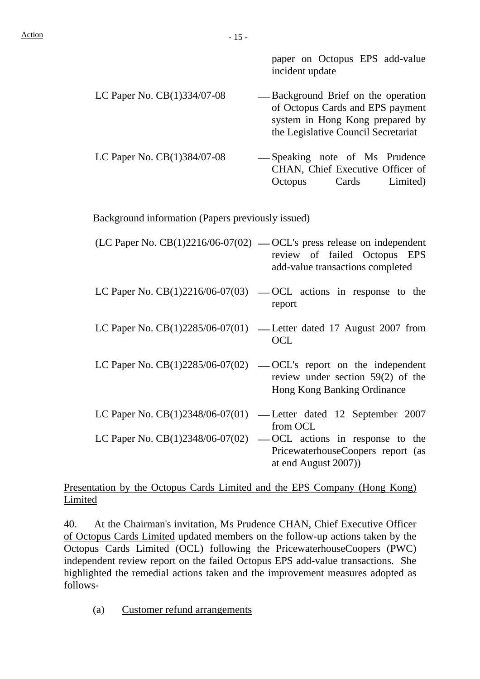paper on Octopus EPS add-value incident update

- LC Paper No.  $CB(1)334/07-08$  -Background Brief on the operation of Octopus Cards and EPS payment system in Hong Kong prepared by the Legislative Council Secretariat
	- LC Paper No. CB(1)384/07-08 Speaking note of Ms Prudence CHAN, Chief Executive Officer of Octopus Cards Limited)

Background information (Papers previously issued)

- (LC Paper No.  $CB(1)2216/06-07(02)$  -OCL's press release on independent review of failed Octopus EPS add-value transactions completed
- LC Paper No.  $CB(1)2216/06-07(03)$  OCL actions in response to the report
- LC Paper No.  $CB(1)2285/06-07(01)$  Letter dated 17 August 2007 from OCL
- LC Paper No.  $CB(1)2285/06-07(02)$  OCL's report on the independent review under section 59(2) of the Hong Kong Banking Ordinance
- LC Paper No.  $CB(1)2348/06-07(01)$  Letter dated 12 September 2007 from OCL LC Paper No.  $CB(1)2348/06-07(02)$  — OCL actions in response to the
- PricewaterhouseCoopers report (as at end August 2007))

### Presentation by the Octopus Cards Limited and the EPS Company (Hong Kong) Limited

40. At the Chairman's invitation, Ms Prudence CHAN, Chief Executive Officer of Octopus Cards Limited updated members on the follow-up actions taken by the Octopus Cards Limited (OCL) following the PricewaterhouseCoopers (PWC) independent review report on the failed Octopus EPS add-value transactions. She highlighted the remedial actions taken and the improvement measures adopted as follows-

(a) Customer refund arrangements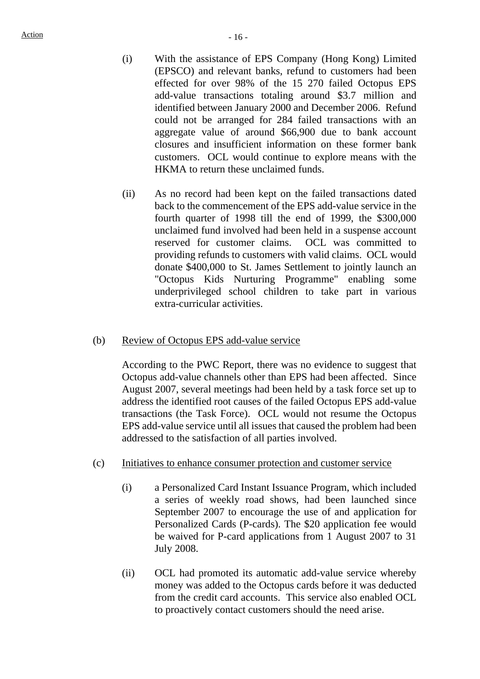- (i) With the assistance of EPS Company (Hong Kong) Limited (EPSCO) and relevant banks, refund to customers had been effected for over 98% of the 15 270 failed Octopus EPS add-value transactions totaling around \$3.7 million and identified between January 2000 and December 2006. Refund could not be arranged for 284 failed transactions with an aggregate value of around \$66,900 due to bank account closures and insufficient information on these former bank customers. OCL would continue to explore means with the HKMA to return these unclaimed funds.
- (ii) As no record had been kept on the failed transactions dated back to the commencement of the EPS add-value service in the fourth quarter of 1998 till the end of 1999, the \$300,000 unclaimed fund involved had been held in a suspense account reserved for customer claims. OCL was committed to providing refunds to customers with valid claims. OCL would donate \$400,000 to St. James Settlement to jointly launch an "Octopus Kids Nurturing Programme" enabling some underprivileged school children to take part in various extra-curricular activities.

#### (b) Review of Octopus EPS add-value service

According to the PWC Report, there was no evidence to suggest that Octopus add-value channels other than EPS had been affected. Since August 2007, several meetings had been held by a task force set up to address the identified root causes of the failed Octopus EPS add-value transactions (the Task Force). OCL would not resume the Octopus EPS add-value service until all issues that caused the problem had been addressed to the satisfaction of all parties involved.

- (c) Initiatives to enhance consumer protection and customer service
	- (i) a Personalized Card Instant Issuance Program, which included a series of weekly road shows, had been launched since September 2007 to encourage the use of and application for Personalized Cards (P-cards). The \$20 application fee would be waived for P-card applications from 1 August 2007 to 31 July 2008.
	- (ii) OCL had promoted its automatic add-value service whereby money was added to the Octopus cards before it was deducted from the credit card accounts. This service also enabled OCL to proactively contact customers should the need arise.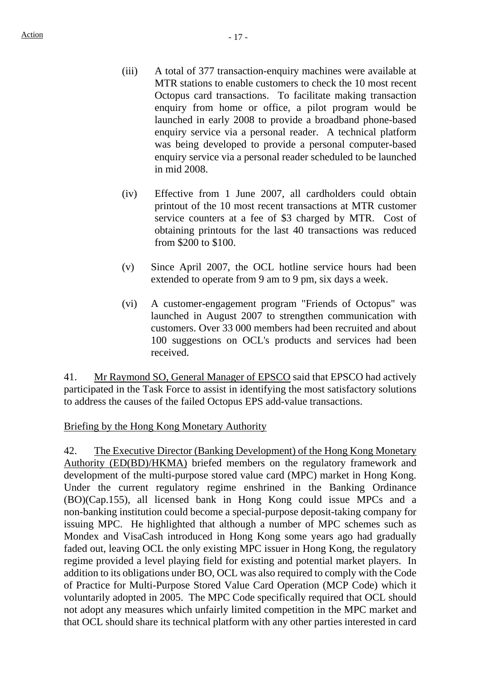- (iii) A total of 377 transaction-enquiry machines were available at MTR stations to enable customers to check the 10 most recent Octopus card transactions. To facilitate making transaction enquiry from home or office, a pilot program would be launched in early 2008 to provide a broadband phone-based enquiry service via a personal reader. A technical platform was being developed to provide a personal computer-based enquiry service via a personal reader scheduled to be launched in mid 2008.
- (iv) Effective from 1 June 2007, all cardholders could obtain printout of the 10 most recent transactions at MTR customer service counters at a fee of \$3 charged by MTR. Cost of obtaining printouts for the last 40 transactions was reduced from \$200 to \$100.
- (v) Since April 2007, the OCL hotline service hours had been extended to operate from 9 am to 9 pm, six days a week.
- (vi) A customer-engagement program "Friends of Octopus" was launched in August 2007 to strengthen communication with customers. Over 33 000 members had been recruited and about 100 suggestions on OCL's products and services had been received.

41. Mr Raymond SO, General Manager of EPSCO said that EPSCO had actively participated in the Task Force to assist in identifying the most satisfactory solutions to address the causes of the failed Octopus EPS add-value transactions.

Briefing by the Hong Kong Monetary Authority

42. The Executive Director (Banking Development) of the Hong Kong Monetary Authority (ED(BD)/HKMA) briefed members on the regulatory framework and development of the multi-purpose stored value card (MPC) market in Hong Kong. Under the current regulatory regime enshrined in the Banking Ordinance (BO)(Cap.155), all licensed bank in Hong Kong could issue MPCs and a non-banking institution could become a special-purpose deposit-taking company for issuing MPC. He highlighted that although a number of MPC schemes such as Mondex and VisaCash introduced in Hong Kong some years ago had gradually faded out, leaving OCL the only existing MPC issuer in Hong Kong, the regulatory regime provided a level playing field for existing and potential market players. In addition to its obligations under BO, OCL was also required to comply with the Code of Practice for Multi-Purpose Stored Value Card Operation (MCP Code) which it voluntarily adopted in 2005. The MPC Code specifically required that OCL should not adopt any measures which unfairly limited competition in the MPC market and that OCL should share its technical platform with any other parties interested in card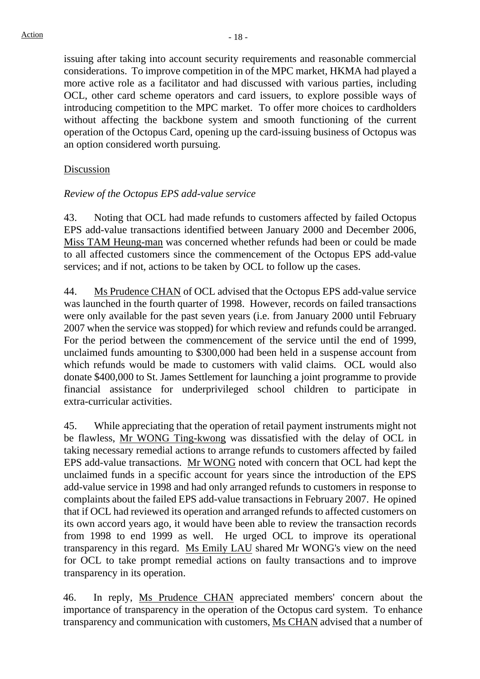issuing after taking into account security requirements and reasonable commercial considerations. To improve competition in of the MPC market, HKMA had played a more active role as a facilitator and had discussed with various parties, including OCL, other card scheme operators and card issuers, to explore possible ways of introducing competition to the MPC market. To offer more choices to cardholders without affecting the backbone system and smooth functioning of the current operation of the Octopus Card, opening up the card-issuing business of Octopus was an option considered worth pursuing.

### Discussion

#### *Review of the Octopus EPS add-value service*

43. Noting that OCL had made refunds to customers affected by failed Octopus EPS add-value transactions identified between January 2000 and December 2006, Miss TAM Heung-man was concerned whether refunds had been or could be made to all affected customers since the commencement of the Octopus EPS add-value services; and if not, actions to be taken by OCL to follow up the cases.

44. Ms Prudence CHAN of OCL advised that the Octopus EPS add-value service was launched in the fourth quarter of 1998. However, records on failed transactions were only available for the past seven years (i.e. from January 2000 until February 2007 when the service was stopped) for which review and refunds could be arranged. For the period between the commencement of the service until the end of 1999, unclaimed funds amounting to \$300,000 had been held in a suspense account from which refunds would be made to customers with valid claims. OCL would also donate \$400,000 to St. James Settlement for launching a joint programme to provide financial assistance for underprivileged school children to participate in extra-curricular activities.

45. While appreciating that the operation of retail payment instruments might not be flawless, Mr WONG Ting-kwong was dissatisfied with the delay of OCL in taking necessary remedial actions to arrange refunds to customers affected by failed EPS add-value transactions. Mr WONG noted with concern that OCL had kept the unclaimed funds in a specific account for years since the introduction of the EPS add-value service in 1998 and had only arranged refunds to customers in response to complaints about the failed EPS add-value transactions in February 2007. He opined that if OCL had reviewed its operation and arranged refunds to affected customers on its own accord years ago, it would have been able to review the transaction records from 1998 to end 1999 as well. He urged OCL to improve its operational transparency in this regard. Ms Emily LAU shared Mr WONG's view on the need for OCL to take prompt remedial actions on faulty transactions and to improve transparency in its operation.

46. In reply, Ms Prudence CHAN appreciated members' concern about the importance of transparency in the operation of the Octopus card system. To enhance transparency and communication with customers, Ms CHAN advised that a number of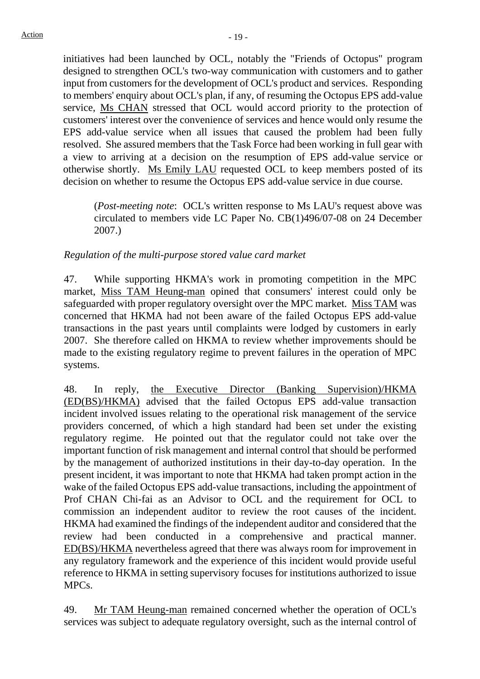initiatives had been launched by OCL, notably the "Friends of Octopus" program designed to strengthen OCL's two-way communication with customers and to gather input from customers for the development of OCL's product and services. Responding to members' enquiry about OCL's plan, if any, of resuming the Octopus EPS add-value service, Ms CHAN stressed that OCL would accord priority to the protection of customers' interest over the convenience of services and hence would only resume the EPS add-value service when all issues that caused the problem had been fully resolved. She assured members that the Task Force had been working in full gear with a view to arriving at a decision on the resumption of EPS add-value service or otherwise shortly. Ms Emily LAU requested OCL to keep members posted of its decision on whether to resume the Octopus EPS add-value service in due course.

(*Post-meeting note*: OCL's written response to Ms LAU's request above was circulated to members vide LC Paper No. CB(1)496/07-08 on 24 December 2007.)

*Regulation of the multi-purpose stored value card market* 

47. While supporting HKMA's work in promoting competition in the MPC market, Miss TAM Heung-man opined that consumers' interest could only be safeguarded with proper regulatory oversight over the MPC market. Miss TAM was concerned that HKMA had not been aware of the failed Octopus EPS add-value transactions in the past years until complaints were lodged by customers in early 2007. She therefore called on HKMA to review whether improvements should be made to the existing regulatory regime to prevent failures in the operation of MPC systems.

48. In reply, the Executive Director (Banking Supervision)/HKMA (ED(BS)/HKMA) advised that the failed Octopus EPS add-value transaction incident involved issues relating to the operational risk management of the service providers concerned, of which a high standard had been set under the existing regulatory regime. He pointed out that the regulator could not take over the important function of risk management and internal control that should be performed by the management of authorized institutions in their day-to-day operation. In the present incident, it was important to note that HKMA had taken prompt action in the wake of the failed Octopus EPS add-value transactions, including the appointment of Prof CHAN Chi-fai as an Advisor to OCL and the requirement for OCL to commission an independent auditor to review the root causes of the incident. HKMA had examined the findings of the independent auditor and considered that the review had been conducted in a comprehensive and practical manner. ED(BS)/HKMA nevertheless agreed that there was always room for improvement in any regulatory framework and the experience of this incident would provide useful reference to HKMA in setting supervisory focuses for institutions authorized to issue MPCs.

49. Mr TAM Heung-man remained concerned whether the operation of OCL's services was subject to adequate regulatory oversight, such as the internal control of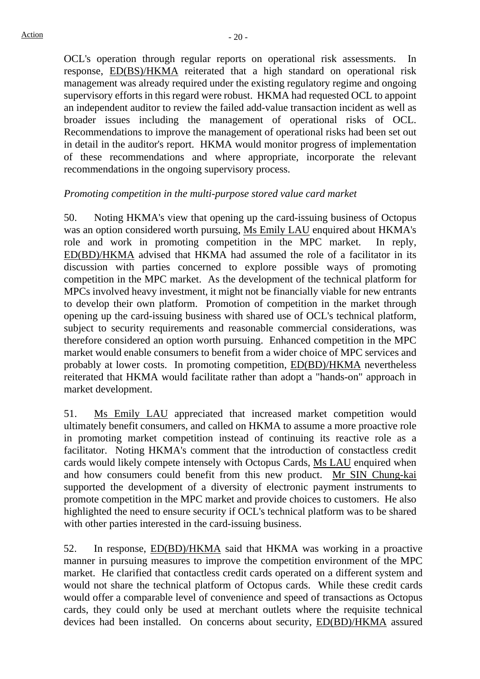OCL's operation through regular reports on operational risk assessments. In response, ED(BS)/HKMA reiterated that a high standard on operational risk management was already required under the existing regulatory regime and ongoing supervisory efforts in this regard were robust. HKMA had requested OCL to appoint an independent auditor to review the failed add-value transaction incident as well as broader issues including the management of operational risks of OCL. Recommendations to improve the management of operational risks had been set out in detail in the auditor's report. HKMA would monitor progress of implementation of these recommendations and where appropriate, incorporate the relevant recommendations in the ongoing supervisory process.

#### *Promoting competition in the multi-purpose stored value card market*

50. Noting HKMA's view that opening up the card-issuing business of Octopus was an option considered worth pursuing, Ms Emily LAU enquired about HKMA's role and work in promoting competition in the MPC market. In reply, ED(BD)/HKMA advised that HKMA had assumed the role of a facilitator in its discussion with parties concerned to explore possible ways of promoting competition in the MPC market. As the development of the technical platform for MPCs involved heavy investment, it might not be financially viable for new entrants to develop their own platform. Promotion of competition in the market through opening up the card-issuing business with shared use of OCL's technical platform, subject to security requirements and reasonable commercial considerations, was therefore considered an option worth pursuing. Enhanced competition in the MPC market would enable consumers to benefit from a wider choice of MPC services and probably at lower costs. In promoting competition, ED(BD)/HKMA nevertheless reiterated that HKMA would facilitate rather than adopt a "hands-on" approach in market development.

51. Ms Emily LAU appreciated that increased market competition would ultimately benefit consumers, and called on HKMA to assume a more proactive role in promoting market competition instead of continuing its reactive role as a facilitator. Noting HKMA's comment that the introduction of constactless credit cards would likely compete intensely with Octopus Cards, Ms LAU enquired when and how consumers could benefit from this new product. Mr SIN Chung-kai supported the development of a diversity of electronic payment instruments to promote competition in the MPC market and provide choices to customers. He also highlighted the need to ensure security if OCL's technical platform was to be shared with other parties interested in the card-issuing business.

52. In response, ED(BD)/HKMA said that HKMA was working in a proactive manner in pursuing measures to improve the competition environment of the MPC market. He clarified that contactless credit cards operated on a different system and would not share the technical platform of Octopus cards. While these credit cards would offer a comparable level of convenience and speed of transactions as Octopus cards, they could only be used at merchant outlets where the requisite technical devices had been installed. On concerns about security, ED(BD)/HKMA assured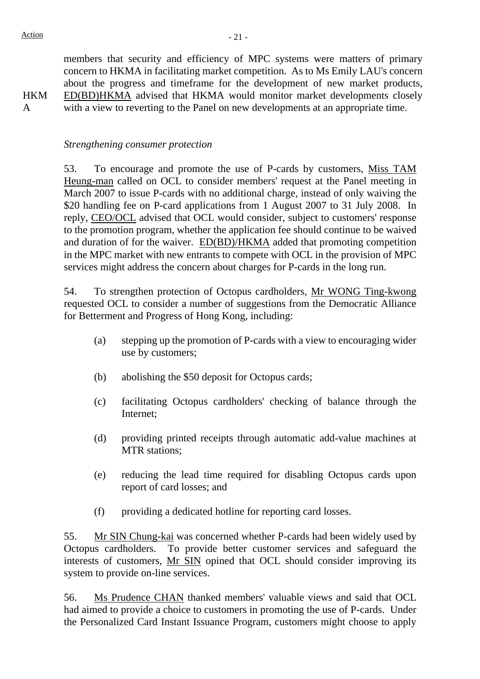**HKM** A

members that security and efficiency of MPC systems were matters of primary concern to HKMA in facilitating market competition. As to Ms Emily LAU's concern about the progress and timeframe for the development of new market products, ED(BD)HKMA advised that HKMA would monitor market developments closely with a view to reverting to the Panel on new developments at an appropriate time.

*Strengthening consumer protection* 

53. To encourage and promote the use of P-cards by customers, Miss TAM Heung-man called on OCL to consider members' request at the Panel meeting in March 2007 to issue P-cards with no additional charge, instead of only waiving the \$20 handling fee on P-card applications from 1 August 2007 to 31 July 2008. In reply, CEO/OCL advised that OCL would consider, subject to customers' response to the promotion program, whether the application fee should continue to be waived and duration of for the waiver. ED(BD)/HKMA added that promoting competition in the MPC market with new entrants to compete with OCL in the provision of MPC services might address the concern about charges for P-cards in the long run.

54. To strengthen protection of Octopus cardholders, Mr WONG Ting-kwong requested OCL to consider a number of suggestions from the Democratic Alliance for Betterment and Progress of Hong Kong, including:

- (a) stepping up the promotion of P-cards with a view to encouraging wider use by customers;
- (b) abolishing the \$50 deposit for Octopus cards;
- (c) facilitating Octopus cardholders' checking of balance through the Internet;
- (d) providing printed receipts through automatic add-value machines at MTR stations;
- (e) reducing the lead time required for disabling Octopus cards upon report of card losses; and
- (f) providing a dedicated hotline for reporting card losses.

55. Mr SIN Chung-kai was concerned whether P-cards had been widely used by Octopus cardholders. To provide better customer services and safeguard the interests of customers, Mr SIN opined that OCL should consider improving its system to provide on-line services.

56. Ms Prudence CHAN thanked members' valuable views and said that OCL had aimed to provide a choice to customers in promoting the use of P-cards. Under the Personalized Card Instant Issuance Program, customers might choose to apply